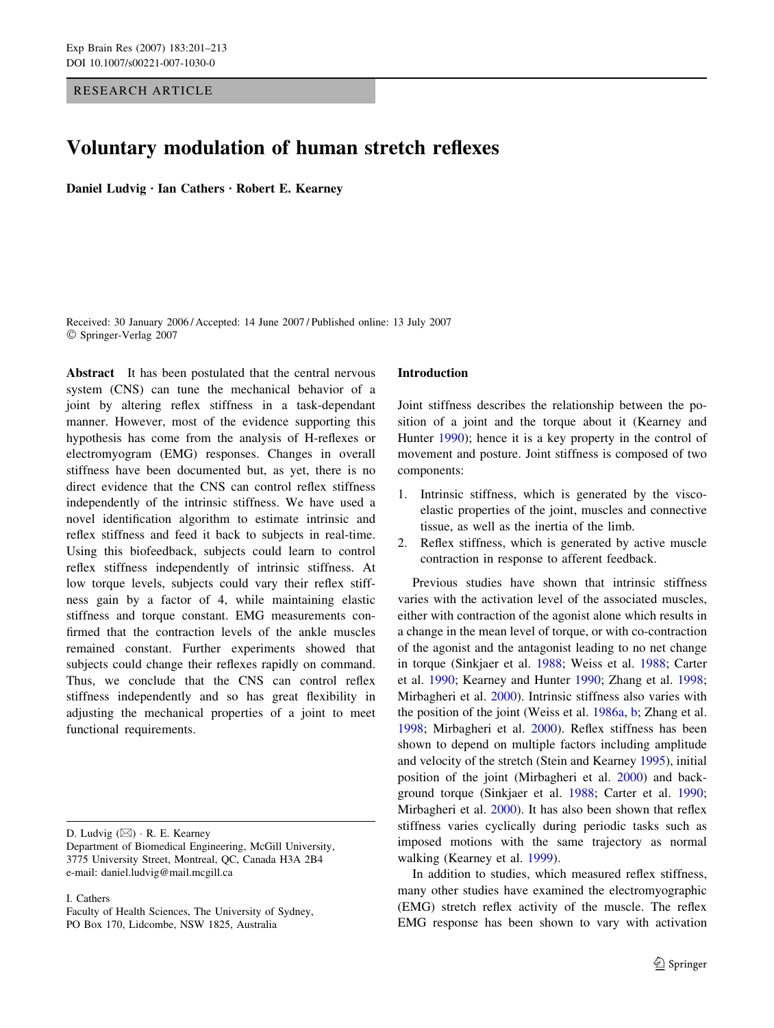# RESEARCH ARTICLE

# Voluntary modulation of human stretch reflexes

Daniel Ludvig · Ian Cathers · Robert E. Kearney

Received: 30 January 2006 / Accepted: 14 June 2007 / Published online: 13 July 2007 Springer-Verlag 2007

Abstract It has been postulated that the central nervous system (CNS) can tune the mechanical behavior of a joint by altering reflex stiffness in a task-dependant manner. However, most of the evidence supporting this hypothesis has come from the analysis of H-reflexes or electromyogram (EMG) responses. Changes in overall stiffness have been documented but, as yet, there is no direct evidence that the CNS can control reflex stiffness independently of the intrinsic stiffness. We have used a novel identification algorithm to estimate intrinsic and reflex stiffness and feed it back to subjects in real-time. Using this biofeedback, subjects could learn to control reflex stiffness independently of intrinsic stiffness. At low torque levels, subjects could vary their reflex stiffness gain by a factor of 4, while maintaining elastic stiffness and torque constant. EMG measurements confirmed that the contraction levels of the ankle muscles remained constant. Further experiments showed that subjects could change their reflexes rapidly on command. Thus, we conclude that the CNS can control reflex stiffness independently and so has great flexibility in adjusting the mechanical properties of a joint to meet functional requirements.

I. Cathers

## Introduction

Joint stiffness describes the relationship between the position of a joint and the torque about it (Kearney and Hunter [1990](#page-11-0)); hence it is a key property in the control of movement and posture. Joint stiffness is composed of two components:

- 1. Intrinsic stiffness, which is generated by the viscoelastic properties of the joint, muscles and connective tissue, as well as the inertia of the limb.
- 2. Reflex stiffness, which is generated by active muscle contraction in response to afferent feedback.

Previous studies have shown that intrinsic stiffness varies with the activation level of the associated muscles, either with contraction of the agonist alone which results in a change in the mean level of torque, or with co-contraction of the agonist and the antagonist leading to no net change in torque (Sinkjaer et al. [1988;](#page-12-0) Weiss et al. [1988;](#page-12-0) Carter et al. [1990;](#page-11-0) Kearney and Hunter [1990](#page-11-0); Zhang et al. [1998](#page-12-0); Mirbagheri et al. [2000\)](#page-11-0). Intrinsic stiffness also varies with the position of the joint (Weiss et al. [1986a,](#page-12-0) [b;](#page-12-0) Zhang et al. [1998](#page-12-0); Mirbagheri et al. [2000\)](#page-11-0). Reflex stiffness has been shown to depend on multiple factors including amplitude and velocity of the stretch (Stein and Kearney [1995](#page-12-0)), initial position of the joint (Mirbagheri et al. [2000\)](#page-11-0) and background torque (Sinkjaer et al. [1988;](#page-12-0) Carter et al. [1990](#page-11-0); Mirbagheri et al. [2000\)](#page-11-0). It has also been shown that reflex stiffness varies cyclically during periodic tasks such as imposed motions with the same trajectory as normal walking (Kearney et al. [1999\)](#page-11-0).

In addition to studies, which measured reflex stiffness, many other studies have examined the electromyographic (EMG) stretch reflex activity of the muscle. The reflex EMG response has been shown to vary with activation

D. Ludvig  $(\boxtimes) \cdot R$ . E. Kearney

Department of Biomedical Engineering, McGill University, 3775 University Street, Montreal, QC, Canada H3A 2B4 e-mail: daniel.ludvig@mail.mcgill.ca

Faculty of Health Sciences, The University of Sydney, PO Box 170, Lidcombe, NSW 1825, Australia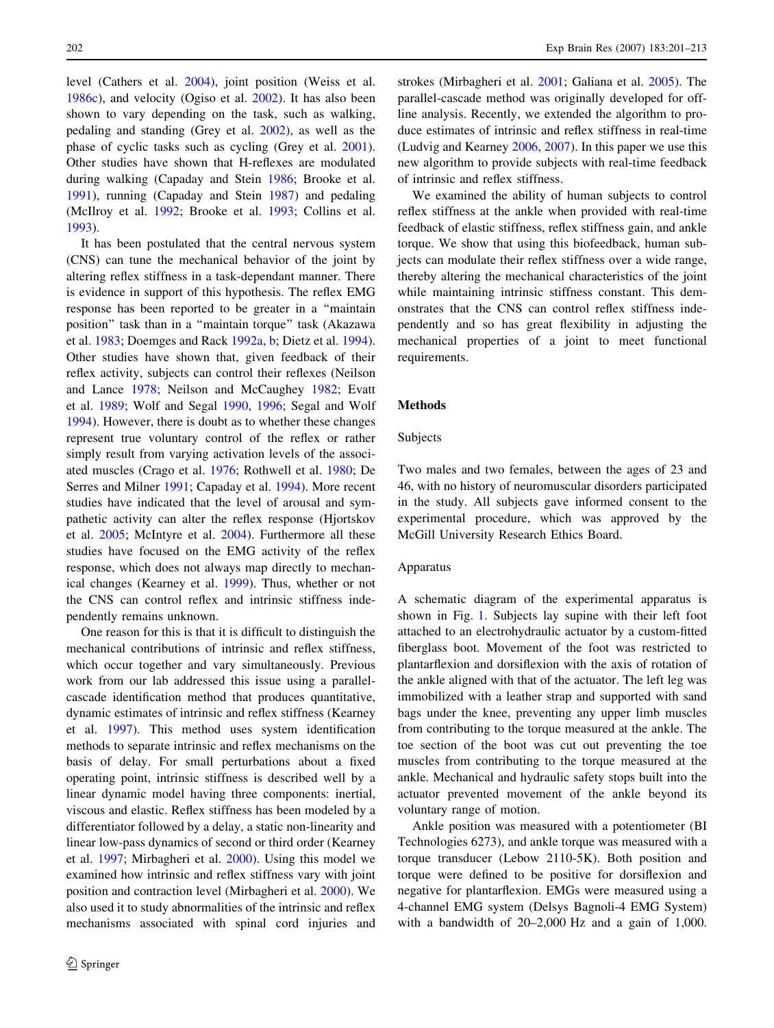level (Cathers et al. [2004](#page-11-0)), joint position (Weiss et al. [1986c](#page-12-0)), and velocity (Ogiso et al. [2002](#page-12-0)). It has also been shown to vary depending on the task, such as walking, pedaling and standing (Grey et al. [2002\)](#page-11-0), as well as the phase of cyclic tasks such as cycling (Grey et al. [2001](#page-11-0)). Other studies have shown that H-reflexes are modulated during walking (Capaday and Stein [1986;](#page-11-0) Brooke et al. [1991\)](#page-11-0), running (Capaday and Stein [1987\)](#page-11-0) and pedaling (McIlroy et al. [1992](#page-11-0); Brooke et al. [1993](#page-11-0); Collins et al. [1993\)](#page-11-0).

It has been postulated that the central nervous system (CNS) can tune the mechanical behavior of the joint by altering reflex stiffness in a task-dependant manner. There is evidence in support of this hypothesis. The reflex EMG response has been reported to be greater in a ''maintain position'' task than in a ''maintain torque'' task (Akazawa et al. [1983;](#page-11-0) Doemges and Rack [1992a](#page-11-0), [b](#page-11-0); Dietz et al. [1994](#page-11-0)). Other studies have shown that, given feedback of their reflex activity, subjects can control their reflexes (Neilson and Lance [1978;](#page-12-0) Neilson and McCaughey [1982;](#page-12-0) Evatt et al. [1989;](#page-11-0) Wolf and Segal [1990](#page-12-0), [1996](#page-12-0); Segal and Wolf [1994\)](#page-12-0). However, there is doubt as to whether these changes represent true voluntary control of the reflex or rather simply result from varying activation levels of the associated muscles (Crago et al. [1976](#page-11-0); Rothwell et al. [1980](#page-12-0); De Serres and Milner [1991;](#page-11-0) Capaday et al. [1994\)](#page-11-0). More recent studies have indicated that the level of arousal and sympathetic activity can alter the reflex response (Hjortskov et al. [2005](#page-11-0); McIntyre et al. [2004](#page-11-0)). Furthermore all these studies have focused on the EMG activity of the reflex response, which does not always map directly to mechanical changes (Kearney et al. [1999\)](#page-11-0). Thus, whether or not the CNS can control reflex and intrinsic stiffness independently remains unknown.

One reason for this is that it is difficult to distinguish the mechanical contributions of intrinsic and reflex stiffness, which occur together and vary simultaneously. Previous work from our lab addressed this issue using a parallelcascade identification method that produces quantitative, dynamic estimates of intrinsic and reflex stiffness (Kearney et al. [1997](#page-11-0)). This method uses system identification methods to separate intrinsic and reflex mechanisms on the basis of delay. For small perturbations about a fixed operating point, intrinsic stiffness is described well by a linear dynamic model having three components: inertial, viscous and elastic. Reflex stiffness has been modeled by a differentiator followed by a delay, a static non-linearity and linear low-pass dynamics of second or third order (Kearney et al. [1997](#page-11-0); Mirbagheri et al. [2000](#page-11-0)). Using this model we examined how intrinsic and reflex stiffness vary with joint position and contraction level (Mirbagheri et al. [2000\)](#page-11-0). We also used it to study abnormalities of the intrinsic and reflex mechanisms associated with spinal cord injuries and strokes (Mirbagheri et al. [2001](#page-12-0); Galiana et al. [2005](#page-11-0)). The parallel-cascade method was originally developed for offline analysis. Recently, we extended the algorithm to produce estimates of intrinsic and reflex stiffness in real-time (Ludvig and Kearney [2006](#page-11-0), [2007](#page-11-0)). In this paper we use this new algorithm to provide subjects with real-time feedback of intrinsic and reflex stiffness.

We examined the ability of human subjects to control reflex stiffness at the ankle when provided with real-time feedback of elastic stiffness, reflex stiffness gain, and ankle torque. We show that using this biofeedback, human subjects can modulate their reflex stiffness over a wide range, thereby altering the mechanical characteristics of the joint while maintaining intrinsic stiffness constant. This demonstrates that the CNS can control reflex stiffness independently and so has great flexibility in adjusting the mechanical properties of a joint to meet functional requirements.

# Methods

#### Subjects

Two males and two females, between the ages of 23 and 46, with no history of neuromuscular disorders participated in the study. All subjects gave informed consent to the experimental procedure, which was approved by the McGill University Research Ethics Board.

## Apparatus

A schematic diagram of the experimental apparatus is shown in Fig. [1.](#page-2-0) Subjects lay supine with their left foot attached to an electrohydraulic actuator by a custom-fitted fiberglass boot. Movement of the foot was restricted to plantarflexion and dorsiflexion with the axis of rotation of the ankle aligned with that of the actuator. The left leg was immobilized with a leather strap and supported with sand bags under the knee, preventing any upper limb muscles from contributing to the torque measured at the ankle. The toe section of the boot was cut out preventing the toe muscles from contributing to the torque measured at the ankle. Mechanical and hydraulic safety stops built into the actuator prevented movement of the ankle beyond its voluntary range of motion.

Ankle position was measured with a potentiometer (BI Technologies 6273), and ankle torque was measured with a torque transducer (Lebow 2110-5K). Both position and torque were defined to be positive for dorsiflexion and negative for plantarflexion. EMGs were measured using a 4-channel EMG system (Delsys Bagnoli-4 EMG System) with a bandwidth of 20–2,000 Hz and a gain of 1,000.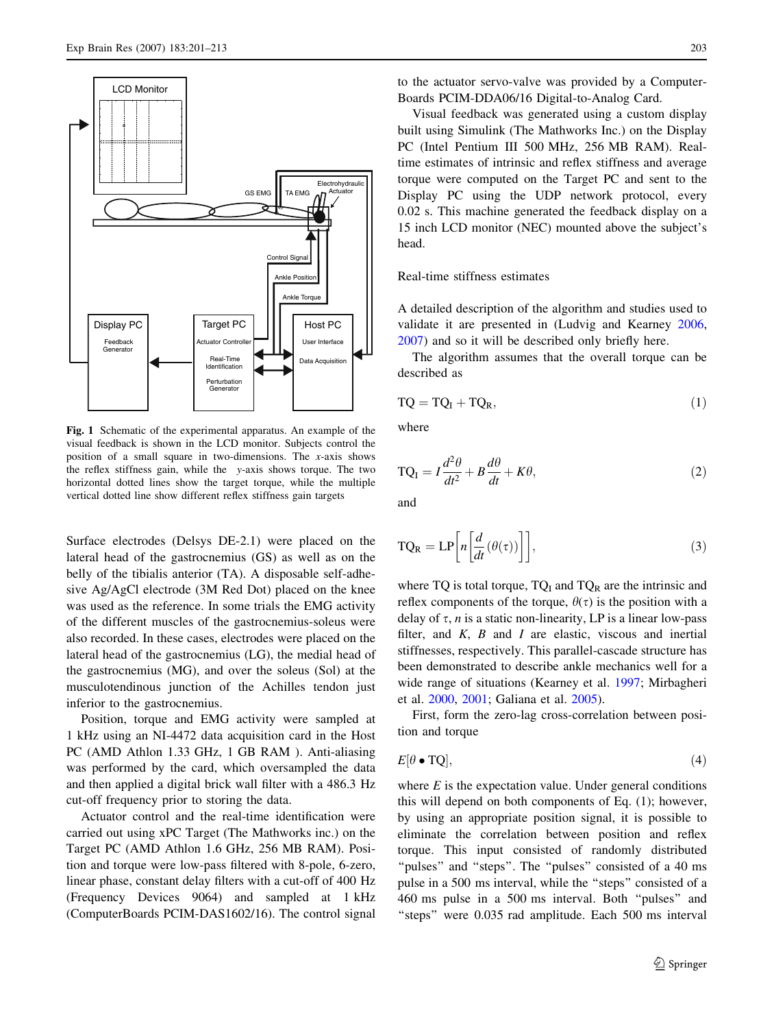<span id="page-2-0"></span>

Fig. 1 Schematic of the experimental apparatus. An example of the visual feedback is shown in the LCD monitor. Subjects control the position of a small square in two-dimensions. The x-axis shows the reflex stiffness gain, while the y-axis shows torque. The two horizontal dotted lines show the target torque, while the multiple vertical dotted line show different reflex stiffness gain targets

Surface electrodes (Delsys DE-2.1) were placed on the lateral head of the gastrocnemius (GS) as well as on the belly of the tibialis anterior (TA). A disposable self-adhesive Ag/AgCl electrode (3M Red Dot) placed on the knee was used as the reference. In some trials the EMG activity of the different muscles of the gastrocnemius-soleus were also recorded. In these cases, electrodes were placed on the lateral head of the gastrocnemius (LG), the medial head of the gastrocnemius (MG), and over the soleus (Sol) at the musculotendinous junction of the Achilles tendon just inferior to the gastrocnemius.

Position, torque and EMG activity were sampled at 1 kHz using an NI-4472 data acquisition card in the Host PC (AMD Athlon 1.33 GHz, 1 GB RAM ). Anti-aliasing was performed by the card, which oversampled the data and then applied a digital brick wall filter with a 486.3 Hz cut-off frequency prior to storing the data.

Actuator control and the real-time identification were carried out using xPC Target (The Mathworks inc.) on the Target PC (AMD Athlon 1.6 GHz, 256 MB RAM). Position and torque were low-pass filtered with 8-pole, 6-zero, linear phase, constant delay filters with a cut-off of 400 Hz (Frequency Devices 9064) and sampled at 1 kHz (ComputerBoards PCIM-DAS1602/16). The control signal

to the actuator servo-valve was provided by a Computer-Boards PCIM-DDA06/16 Digital-to-Analog Card.

Visual feedback was generated using a custom display built using Simulink (The Mathworks Inc.) on the Display PC (Intel Pentium III 500 MHz, 256 MB RAM). Realtime estimates of intrinsic and reflex stiffness and average torque were computed on the Target PC and sent to the Display PC using the UDP network protocol, every 0.02 s. This machine generated the feedback display on a 15 inch LCD monitor (NEC) mounted above the subject's head.

# Real-time stiffness estimates

A detailed description of the algorithm and studies used to validate it are presented in (Ludvig and Kearney [2006,](#page-11-0) [2007](#page-11-0)) and so it will be described only briefly here.

The algorithm assumes that the overall torque can be described as

$$
TQ = TQ_I + TQ_R, \qquad (1)
$$

where

$$
TQ_{I} = I \frac{d^{2}\theta}{dt^{2}} + B \frac{d\theta}{dt} + K\theta,
$$
\n(2)

and

$$
TQ_{R} = LP\left[n\left[\frac{d}{dt}(\theta(\tau))\right]\right],
$$
\n(3)

where TQ is total torque,  $TQ_I$  and  $TQ_R$  are the intrinsic and reflex components of the torque,  $\theta(\tau)$  is the position with a delay of  $\tau$ , *n* is a static non-linearity, LP is a linear low-pass filter, and  $K$ ,  $B$  and  $I$  are elastic, viscous and inertial stiffnesses, respectively. This parallel-cascade structure has been demonstrated to describe ankle mechanics well for a wide range of situations (Kearney et al. [1997;](#page-11-0) Mirbagheri et al. [2000,](#page-11-0) [2001;](#page-12-0) Galiana et al. [2005\)](#page-11-0).

First, form the zero-lag cross-correlation between position and torque

$$
E[\theta \bullet TQ], \tag{4}
$$

where  $E$  is the expectation value. Under general conditions this will depend on both components of Eq. (1); however, by using an appropriate position signal, it is possible to eliminate the correlation between position and reflex torque. This input consisted of randomly distributed "pulses" and "steps". The "pulses" consisted of a 40 ms pulse in a 500 ms interval, while the ''steps'' consisted of a 460 ms pulse in a 500 ms interval. Both ''pulses'' and "steps" were 0.035 rad amplitude. Each 500 ms interval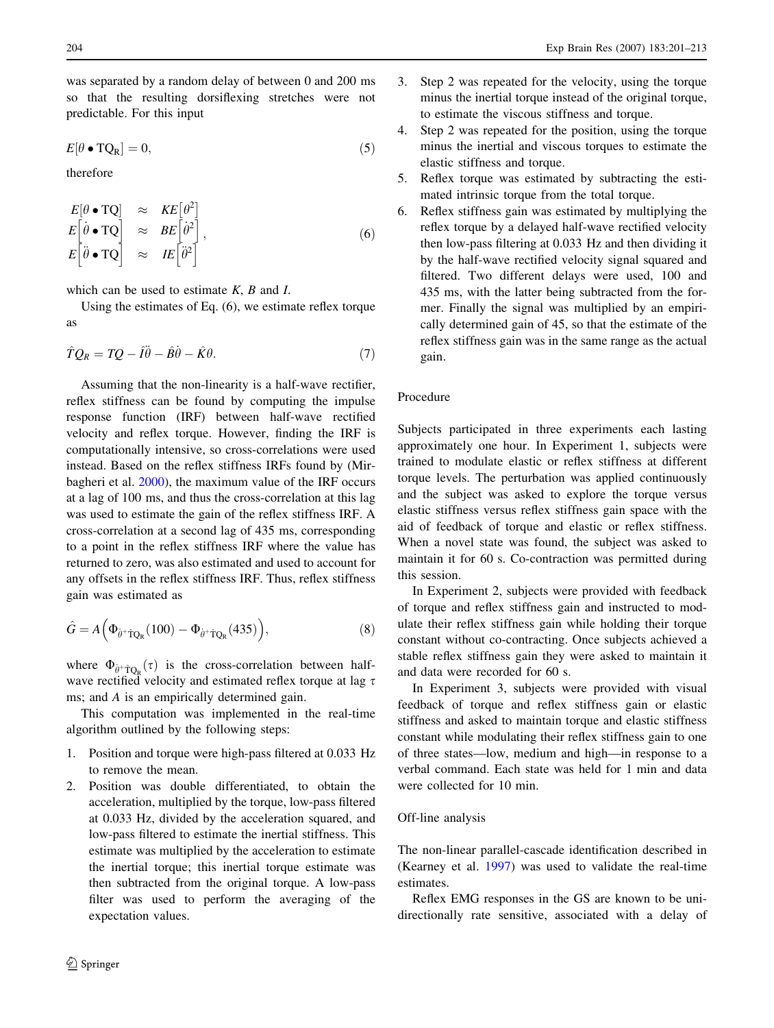was separated by a random delay of between 0 and 200 ms so that the resulting dorsiflexing stretches were not predictable. For this input

$$
E[\theta \bullet TQ_R] = 0,\t\t(5)
$$

therefore

$$
E[\theta \bullet TQ] \approx KE[\theta^2] \nE[\dot{\theta} \bullet TQ] \approx BE[\dot{\theta}^2] \nE[\ddot{\theta} \bullet TQ] \approx IE[\ddot{\theta}^2],
$$
\n(6)

which can be used to estimate  $K$ ,  $B$  and  $I$ .

Using the estimates of Eq. (6), we estimate reflex torque as

$$
\hat{T}Q_R = TQ - \hat{I}\ddot{\theta} - \hat{B}\dot{\theta} - \hat{K}\theta.
$$
\n(7)

Assuming that the non-linearity is a half-wave rectifier, reflex stiffness can be found by computing the impulse response function (IRF) between half-wave rectified velocity and reflex torque. However, finding the IRF is computationally intensive, so cross-correlations were used instead. Based on the reflex stiffness IRFs found by (Mirbagheri et al. [2000\)](#page-11-0), the maximum value of the IRF occurs at a lag of 100 ms, and thus the cross-correlation at this lag was used to estimate the gain of the reflex stiffness IRF. A cross-correlation at a second lag of 435 ms, corresponding to a point in the reflex stiffness IRF where the value has returned to zero, was also estimated and used to account for any offsets in the reflex stiffness IRF. Thus, reflex stiffness gain was estimated as

$$
\hat{G} = A\Big(\Phi_{\hat{\theta}^+\hat{\mathbf{T}}Q_{R}}(100) - \Phi_{\hat{\theta}^+\hat{\mathbf{T}}Q_{R}}(435)\Big),\tag{8}
$$

where  $\Phi_{\theta^+\hat{T}Q_R}(\tau)$  is the cross-correlation between halfwave rectified velocity and estimated reflex torque at lag  $\tau$ ms; and A is an empirically determined gain.

This computation was implemented in the real-time algorithm outlined by the following steps:

- 1. Position and torque were high-pass filtered at 0.033 Hz to remove the mean.
- 2. Position was double differentiated, to obtain the acceleration, multiplied by the torque, low-pass filtered at 0.033 Hz, divided by the acceleration squared, and low-pass filtered to estimate the inertial stiffness. This estimate was multiplied by the acceleration to estimate the inertial torque; this inertial torque estimate was then subtracted from the original torque. A low-pass filter was used to perform the averaging of the expectation values.
- $\textcircled{2}$  Springer
- 3. Step 2 was repeated for the velocity, using the torque minus the inertial torque instead of the original torque, to estimate the viscous stiffness and torque.
- 4. Step 2 was repeated for the position, using the torque minus the inertial and viscous torques to estimate the elastic stiffness and torque.
- 5. Reflex torque was estimated by subtracting the estimated intrinsic torque from the total torque.
- 6. Reflex stiffness gain was estimated by multiplying the reflex torque by a delayed half-wave rectified velocity then low-pass filtering at 0.033 Hz and then dividing it by the half-wave rectified velocity signal squared and filtered. Two different delays were used, 100 and 435 ms, with the latter being subtracted from the former. Finally the signal was multiplied by an empirically determined gain of 45, so that the estimate of the reflex stiffness gain was in the same range as the actual gain.

# Procedure

Subjects participated in three experiments each lasting approximately one hour. In Experiment 1, subjects were trained to modulate elastic or reflex stiffness at different torque levels. The perturbation was applied continuously and the subject was asked to explore the torque versus elastic stiffness versus reflex stiffness gain space with the aid of feedback of torque and elastic or reflex stiffness. When a novel state was found, the subject was asked to maintain it for 60 s. Co-contraction was permitted during this session.

In Experiment 2, subjects were provided with feedback of torque and reflex stiffness gain and instructed to modulate their reflex stiffness gain while holding their torque constant without co-contracting. Once subjects achieved a stable reflex stiffness gain they were asked to maintain it and data were recorded for 60 s.

In Experiment 3, subjects were provided with visual feedback of torque and reflex stiffness gain or elastic stiffness and asked to maintain torque and elastic stiffness constant while modulating their reflex stiffness gain to one of three states—low, medium and high—in response to a verbal command. Each state was held for 1 min and data were collected for 10 min.

#### Off-line analysis

The non-linear parallel-cascade identification described in (Kearney et al. [1997](#page-11-0)) was used to validate the real-time estimates.

Reflex EMG responses in the GS are known to be unidirectionally rate sensitive, associated with a delay of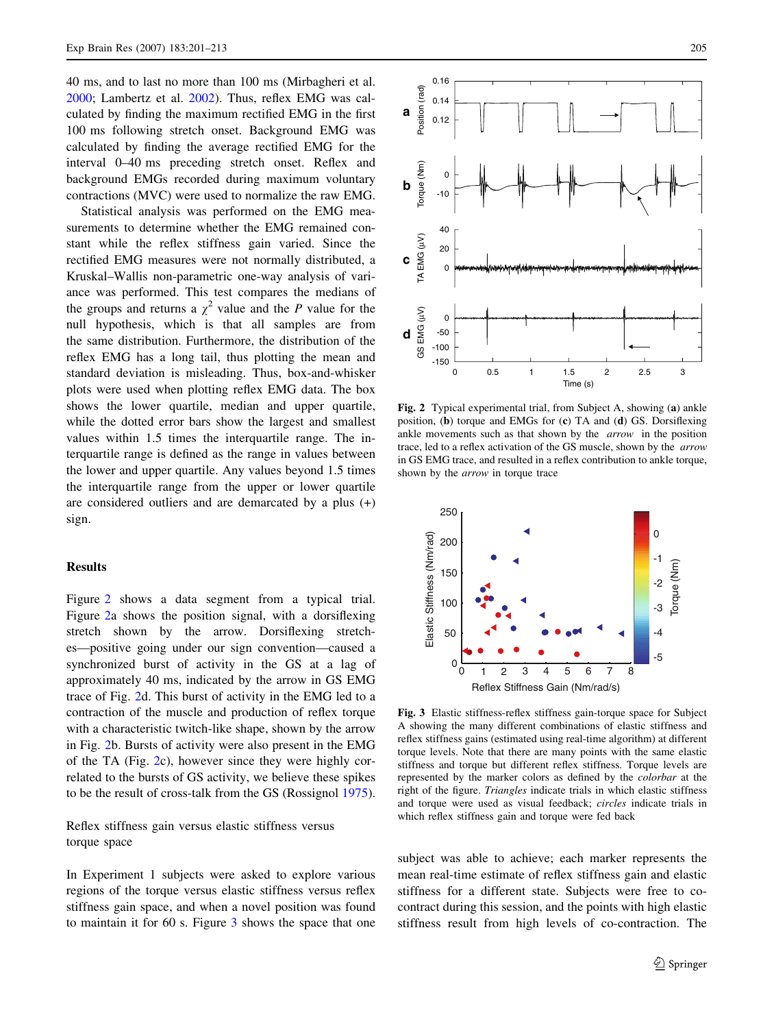<span id="page-4-0"></span>40 ms, and to last no more than 100 ms (Mirbagheri et al. [2000;](#page-11-0) Lambertz et al. [2002](#page-11-0)). Thus, reflex EMG was calculated by finding the maximum rectified EMG in the first 100 ms following stretch onset. Background EMG was calculated by finding the average rectified EMG for the interval 0–40 ms preceding stretch onset. Reflex and background EMGs recorded during maximum voluntary contractions (MVC) were used to normalize the raw EMG.

Statistical analysis was performed on the EMG measurements to determine whether the EMG remained constant while the reflex stiffness gain varied. Since the rectified EMG measures were not normally distributed, a Kruskal–Wallis non-parametric one-way analysis of variance was performed. This test compares the medians of the groups and returns a  $\chi^2$  value and the P value for the null hypothesis, which is that all samples are from the same distribution. Furthermore, the distribution of the reflex EMG has a long tail, thus plotting the mean and standard deviation is misleading. Thus, box-and-whisker plots were used when plotting reflex EMG data. The box shows the lower quartile, median and upper quartile, while the dotted error bars show the largest and smallest values within 1.5 times the interquartile range. The interquartile range is defined as the range in values between the lower and upper quartile. Any values beyond 1.5 times the interquartile range from the upper or lower quartile are considered outliers and are demarcated by a plus (+) sign.

# **Results**

Figure 2 shows a data segment from a typical trial. Figure 2a shows the position signal, with a dorsiflexing stretch shown by the arrow. Dorsiflexing stretches—positive going under our sign convention—caused a synchronized burst of activity in the GS at a lag of approximately 40 ms, indicated by the arrow in GS EMG trace of Fig. 2d. This burst of activity in the EMG led to a contraction of the muscle and production of reflex torque with a characteristic twitch-like shape, shown by the arrow in Fig. 2b. Bursts of activity were also present in the EMG of the TA (Fig. 2c), however since they were highly correlated to the bursts of GS activity, we believe these spikes to be the result of cross-talk from the GS (Rossignol [1975](#page-12-0)).

Reflex stiffness gain versus elastic stiffness versus torque space

In Experiment 1 subjects were asked to explore various regions of the torque versus elastic stiffness versus reflex stiffness gain space, and when a novel position was found to maintain it for 60 s. Figure 3 shows the space that one



Fig. 2 Typical experimental trial, from Subject A, showing (a) ankle position, (b) torque and EMGs for (c) TA and (d) GS. Dorsiflexing ankle movements such as that shown by the arrow in the position trace, led to a reflex activation of the GS muscle, shown by the arrow in GS EMG trace, and resulted in a reflex contribution to ankle torque, shown by the arrow in torque trace



Fig. 3 Elastic stiffness-reflex stiffness gain-torque space for Subject A showing the many different combinations of elastic stiffness and reflex stiffness gains (estimated using real-time algorithm) at different torque levels. Note that there are many points with the same elastic stiffness and torque but different reflex stiffness. Torque levels are represented by the marker colors as defined by the colorbar at the right of the figure. Triangles indicate trials in which elastic stiffness and torque were used as visual feedback; circles indicate trials in which reflex stiffness gain and torque were fed back

subject was able to achieve; each marker represents the mean real-time estimate of reflex stiffness gain and elastic stiffness for a different state. Subjects were free to cocontract during this session, and the points with high elastic stiffness result from high levels of co-contraction. The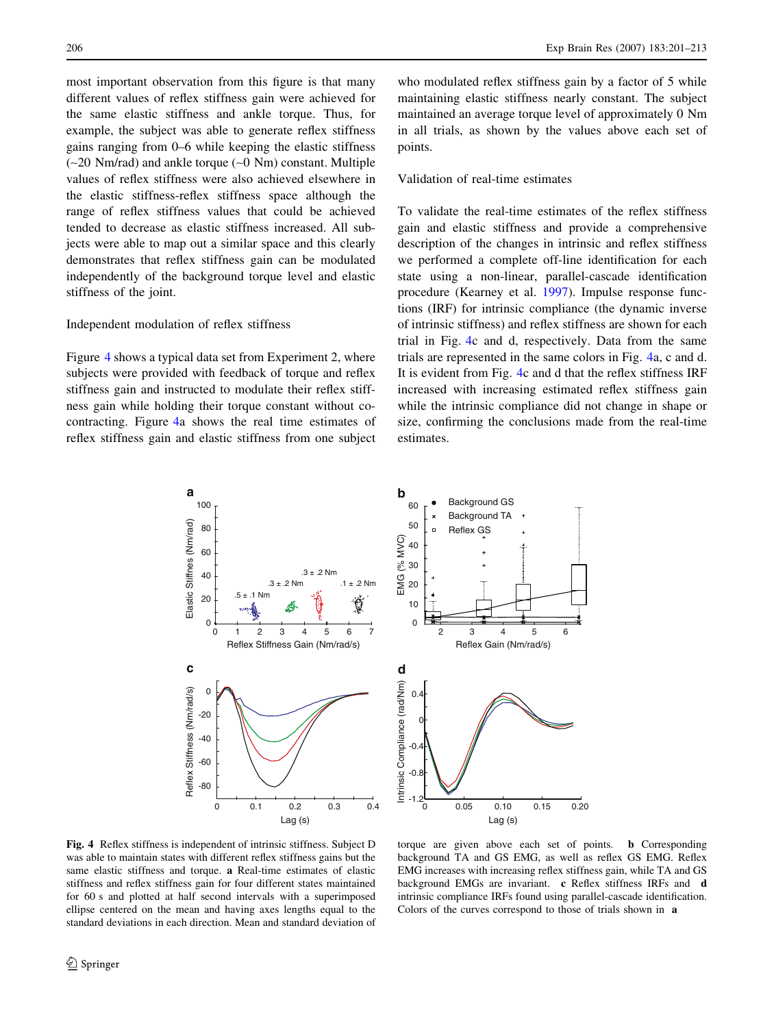<span id="page-5-0"></span>most important observation from this figure is that many different values of reflex stiffness gain were achieved for the same elastic stiffness and ankle torque. Thus, for example, the subject was able to generate reflex stiffness gains ranging from 0–6 while keeping the elastic stiffness  $(-20 \text{ Nm/rad})$  and ankle torque  $(-0 \text{ Nm})$  constant. Multiple values of reflex stiffness were also achieved elsewhere in the elastic stiffness-reflex stiffness space although the range of reflex stiffness values that could be achieved tended to decrease as elastic stiffness increased. All subjects were able to map out a similar space and this clearly demonstrates that reflex stiffness gain can be modulated independently of the background torque level and elastic stiffness of the joint.

# Independent modulation of reflex stiffness

Figure 4 shows a typical data set from Experiment 2, where subjects were provided with feedback of torque and reflex stiffness gain and instructed to modulate their reflex stiffness gain while holding their torque constant without cocontracting. Figure 4a shows the real time estimates of reflex stiffness gain and elastic stiffness from one subject

who modulated reflex stiffness gain by a factor of 5 while maintaining elastic stiffness nearly constant. The subject maintained an average torque level of approximately 0 Nm in all trials, as shown by the values above each set of points.

## Validation of real-time estimates

To validate the real-time estimates of the reflex stiffness gain and elastic stiffness and provide a comprehensive description of the changes in intrinsic and reflex stiffness we performed a complete off-line identification for each state using a non-linear, parallel-cascade identification procedure (Kearney et al. [1997](#page-11-0)). Impulse response functions (IRF) for intrinsic compliance (the dynamic inverse of intrinsic stiffness) and reflex stiffness are shown for each trial in Fig. 4c and d, respectively. Data from the same trials are represented in the same colors in Fig. 4a, c and d. It is evident from Fig. 4c and d that the reflex stiffness IRF increased with increasing estimated reflex stiffness gain while the intrinsic compliance did not change in shape or size, confirming the conclusions made from the real-time estimates.





Fig. 4 Reflex stiffness is independent of intrinsic stiffness. Subject D was able to maintain states with different reflex stiffness gains but the same elastic stiffness and torque. a Real-time estimates of elastic stiffness and reflex stiffness gain for four different states maintained for 60 s and plotted at half second intervals with a superimposed ellipse centered on the mean and having axes lengths equal to the standard deviations in each direction. Mean and standard deviation of

torque are given above each set of points. b Corresponding background TA and GS EMG, as well as reflex GS EMG. Reflex EMG increases with increasing reflex stiffness gain, while TA and GS background EMGs are invariant. c Reflex stiffness IRFs and d intrinsic compliance IRFs found using parallel-cascade identification. Colors of the curves correspond to those of trials shown in a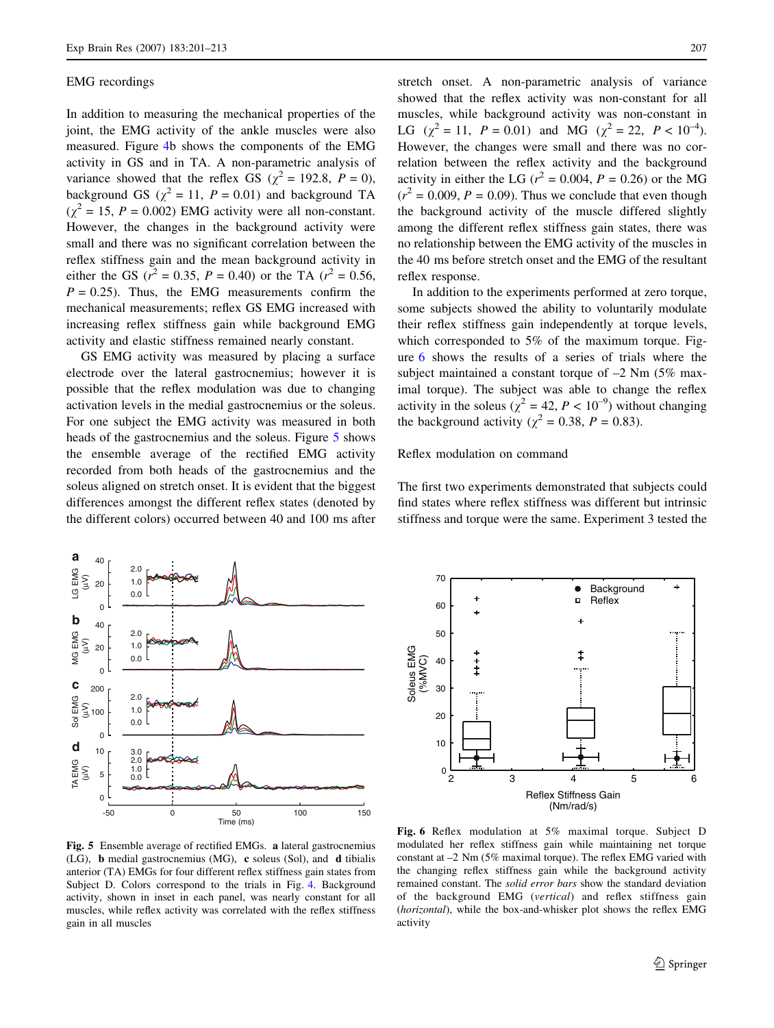#### <span id="page-6-0"></span>EMG recordings

In addition to measuring the mechanical properties of the joint, the EMG activity of the ankle muscles were also measured. Figure [4b](#page-5-0) shows the components of the EMG activity in GS and in TA. A non-parametric analysis of variance showed that the reflex GS ( $\chi^2$  = 192.8, P = 0), background GS ( $\chi^2 = 11$ ,  $P = 0.01$ ) and background TA  $(\chi^2 = 15, P = 0.002)$  EMG activity were all non-constant. However, the changes in the background activity were small and there was no significant correlation between the reflex stiffness gain and the mean background activity in either the GS ( $r^2 = 0.35$ ,  $P = 0.40$ ) or the TA ( $r^2 = 0.56$ ,  $P = 0.25$ ). Thus, the EMG measurements confirm the mechanical measurements; reflex GS EMG increased with increasing reflex stiffness gain while background EMG activity and elastic stiffness remained nearly constant.

GS EMG activity was measured by placing a surface electrode over the lateral gastrocnemius; however it is possible that the reflex modulation was due to changing activation levels in the medial gastrocnemius or the soleus. For one subject the EMG activity was measured in both heads of the gastrocnemius and the soleus. Figure 5 shows the ensemble average of the rectified EMG activity recorded from both heads of the gastrocnemius and the soleus aligned on stretch onset. It is evident that the biggest differences amongst the different reflex states (denoted by the different colors) occurred between 40 and 100 ms after stretch onset. A non-parametric analysis of variance showed that the reflex activity was non-constant for all muscles, while background activity was non-constant in LG  $(\chi^2 = 11, P = 0.01)$  and MG  $(\chi^2 = 22, P < 10^{-4})$ . However, the changes were small and there was no correlation between the reflex activity and the background activity in either the LG ( $r^2 = 0.004$ ,  $P = 0.26$ ) or the MG  $(r^2 = 0.009, P = 0.09)$ . Thus we conclude that even though the background activity of the muscle differed slightly among the different reflex stiffness gain states, there was no relationship between the EMG activity of the muscles in the 40 ms before stretch onset and the EMG of the resultant reflex response.

In addition to the experiments performed at zero torque, some subjects showed the ability to voluntarily modulate their reflex stiffness gain independently at torque levels, which corresponded to 5% of the maximum torque. Figure 6 shows the results of a series of trials where the subject maintained a constant torque of  $-2$  Nm (5% maximal torque). The subject was able to change the reflex activity in the soleus ( $\chi^2 = 42$ ,  $P < 10^{-9}$ ) without changing the background activity ( $\chi^2 = 0.38$ ,  $P = 0.83$ ).

Reflex modulation on command

The first two experiments demonstrated that subjects could find states where reflex stiffness was different but intrinsic stiffness and torque were the same. Experiment 3 tested the





Fig. 5 Ensemble average of rectified EMGs. a lateral gastrocnemius (LG), b medial gastrocnemius (MG), c soleus (Sol), and d tibialis anterior (TA) EMGs for four different reflex stiffness gain states from Subject D. Colors correspond to the trials in Fig. [4](#page-5-0). Background activity, shown in inset in each panel, was nearly constant for all muscles, while reflex activity was correlated with the reflex stiffness gain in all muscles

Fig. 6 Reflex modulation at 5% maximal torque. Subject D modulated her reflex stiffness gain while maintaining net torque constant at –2 Nm (5% maximal torque). The reflex EMG varied with the changing reflex stiffness gain while the background activity remained constant. The solid error bars show the standard deviation of the background EMG (vertical) and reflex stiffness gain (horizontal), while the box-and-whisker plot shows the reflex EMG activity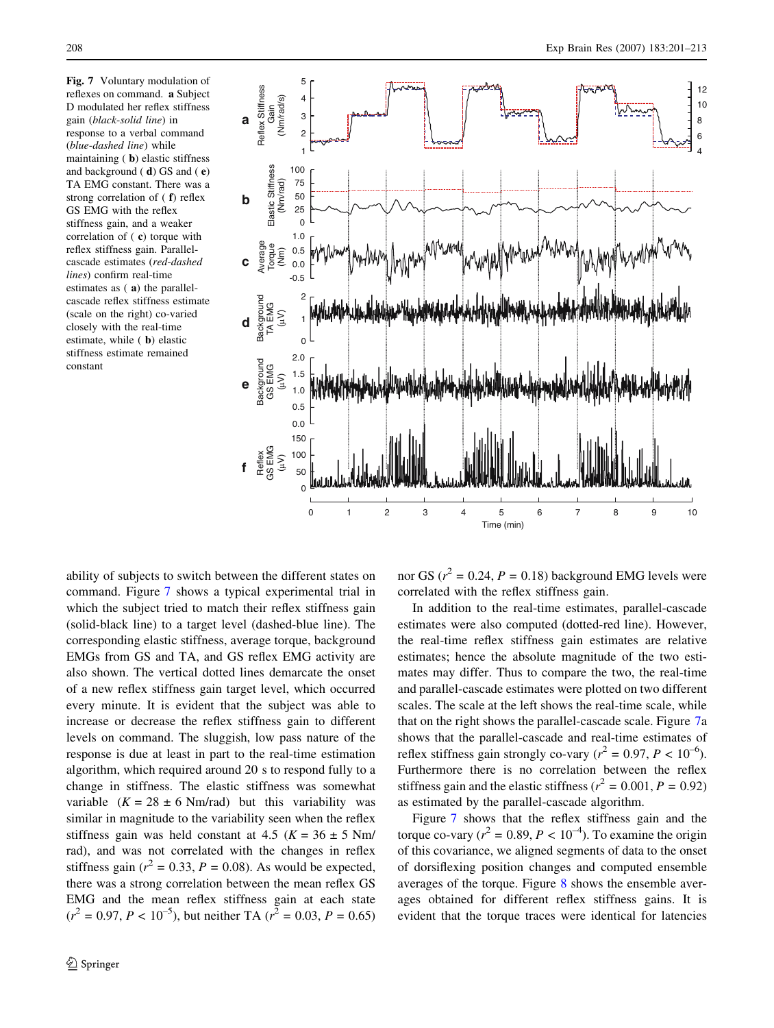reflexes on command. a Subject D modulated her reflex stiffness gain (black-solid line) in response to a verbal command (blue-dashed line) while maintaining ( b) elastic stiffness and background ( d) GS and ( e) TA EMG constant. There was a strong correlation of ( f) reflex GS EMG with the reflex stiffness gain, and a weaker correlation of ( c) torque with reflex stiffness gain. Parallelcascade estimates (red-dashed lines) confirm real-time estimates as ( a) the parallelcascade reflex stiffness estimate (scale on the right) co-varied closely with the real-time estimate, while ( b) elastic stiffness estimate remained constant

<span id="page-7-0"></span>

ability of subjects to switch between the different states on command. Figure 7 shows a typical experimental trial in which the subject tried to match their reflex stiffness gain (solid-black line) to a target level (dashed-blue line). The corresponding elastic stiffness, average torque, background EMGs from GS and TA, and GS reflex EMG activity are also shown. The vertical dotted lines demarcate the onset of a new reflex stiffness gain target level, which occurred every minute. It is evident that the subject was able to increase or decrease the reflex stiffness gain to different levels on command. The sluggish, low pass nature of the response is due at least in part to the real-time estimation algorithm, which required around 20 s to respond fully to a change in stiffness. The elastic stiffness was somewhat variable  $(K = 28 \pm 6 \text{ Nm/rad})$  but this variability was similar in magnitude to the variability seen when the reflex stiffness gain was held constant at 4.5 ( $K = 36 \pm 5$  Nm/ rad), and was not correlated with the changes in reflex stiffness gain ( $r^2 = 0.33$ ,  $P = 0.08$ ). As would be expected, there was a strong correlation between the mean reflex GS EMG and the mean reflex stiffness gain at each state  $(r^2 = 0.97, P < 10^{-5})$ , but neither TA  $(r^2 = 0.03, P = 0.65)$ 

nor GS ( $r^2 = 0.24$ ,  $P = 0.18$ ) background EMG levels were correlated with the reflex stiffness gain.

In addition to the real-time estimates, parallel-cascade estimates were also computed (dotted-red line). However, the real-time reflex stiffness gain estimates are relative estimates; hence the absolute magnitude of the two estimates may differ. Thus to compare the two, the real-time and parallel-cascade estimates were plotted on two different scales. The scale at the left shows the real-time scale, while that on the right shows the parallel-cascade scale. Figure 7a shows that the parallel-cascade and real-time estimates of reflex stiffness gain strongly co-vary ( $r^2 = 0.97$ ,  $P < 10^{-6}$ ). Furthermore there is no correlation between the reflex stiffness gain and the elastic stiffness ( $r^2 = 0.001$ ,  $P = 0.92$ ) as estimated by the parallel-cascade algorithm.

Figure 7 shows that the reflex stiffness gain and the torque co-vary ( $r^2 = 0.89$ ,  $P < 10^{-4}$ ). To examine the origin of this covariance, we aligned segments of data to the onset of dorsiflexing position changes and computed ensemble averages of the torque. Figure [8](#page-8-0) shows the ensemble averages obtained for different reflex stiffness gains. It is evident that the torque traces were identical for latencies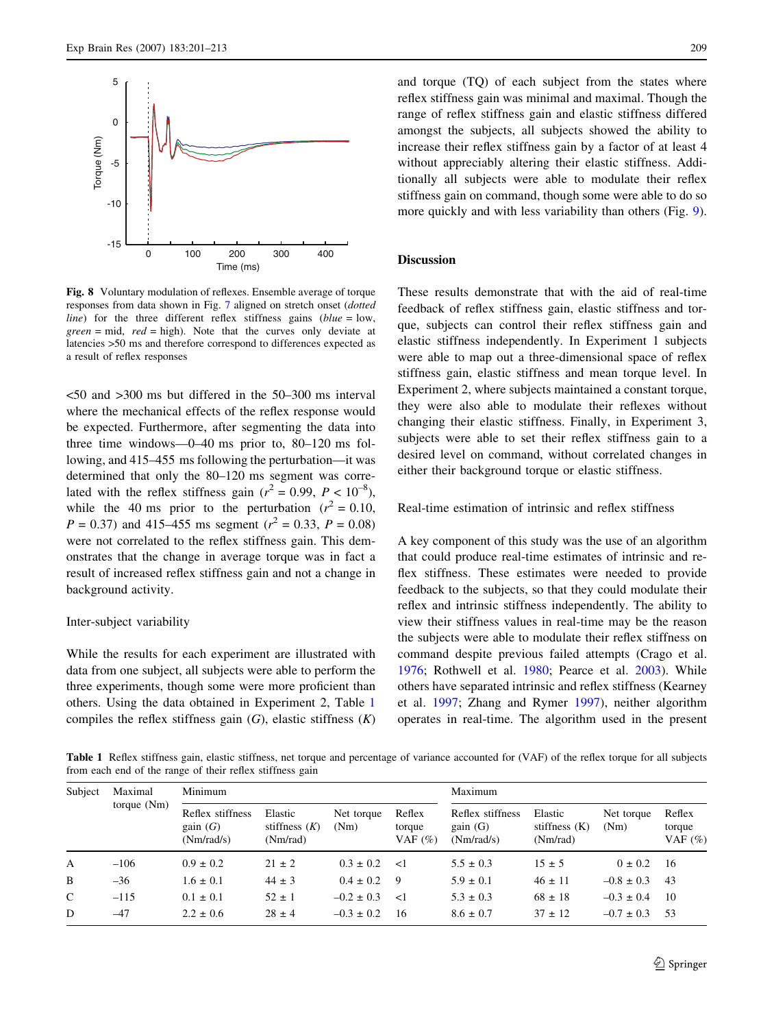<span id="page-8-0"></span>

Fig. 8 Voluntary modulation of reflexes. Ensemble average of torque responses from data shown in Fig. [7](#page-7-0) aligned on stretch onset (dotted *line*) for the three different reflex stiffness gains ( $blue = 1$ ow,  $green = mid$ ,  $red = high$ ). Note that the curves only deviate at latencies >50 ms and therefore correspond to differences expected as a result of reflex responses

<50 and >300 ms but differed in the 50–300 ms interval where the mechanical effects of the reflex response would be expected. Furthermore, after segmenting the data into three time windows—0–40 ms prior to, 80–120 ms following, and 415–455 ms following the perturbation—it was determined that only the 80–120 ms segment was correlated with the reflex stiffness gain ( $r^2 = 0.99$ ,  $P < 10^{-8}$ ), while the 40 ms prior to the perturbation ( $r^2 = 0.10$ ,  $P = 0.37$ ) and 415–455 ms segment ( $r^2 = 0.33$ ,  $P = 0.08$ ) were not correlated to the reflex stiffness gain. This demonstrates that the change in average torque was in fact a result of increased reflex stiffness gain and not a change in background activity.

#### Inter-subject variability

While the results for each experiment are illustrated with data from one subject, all subjects were able to perform the three experiments, though some were more proficient than others. Using the data obtained in Experiment 2, Table 1 compiles the reflex stiffness gain  $(G)$ , elastic stiffness  $(K)$  and torque (TO) of each subject from the states where reflex stiffness gain was minimal and maximal. Though the range of reflex stiffness gain and elastic stiffness differed amongst the subjects, all subjects showed the ability to increase their reflex stiffness gain by a factor of at least 4 without appreciably altering their elastic stiffness. Additionally all subjects were able to modulate their reflex stiffness gain on command, though some were able to do so more quickly and with less variability than others (Fig. [9](#page-9-0)).

## Discussion

These results demonstrate that with the aid of real-time feedback of reflex stiffness gain, elastic stiffness and torque, subjects can control their reflex stiffness gain and elastic stiffness independently. In Experiment 1 subjects were able to map out a three-dimensional space of reflex stiffness gain, elastic stiffness and mean torque level. In Experiment 2, where subjects maintained a constant torque, they were also able to modulate their reflexes without changing their elastic stiffness. Finally, in Experiment 3, subjects were able to set their reflex stiffness gain to a desired level on command, without correlated changes in either their background torque or elastic stiffness.

Real-time estimation of intrinsic and reflex stiffness

A key component of this study was the use of an algorithm that could produce real-time estimates of intrinsic and reflex stiffness. These estimates were needed to provide feedback to the subjects, so that they could modulate their reflex and intrinsic stiffness independently. The ability to view their stiffness values in real-time may be the reason the subjects were able to modulate their reflex stiffness on command despite previous failed attempts (Crago et al. [1976](#page-11-0); Rothwell et al. [1980;](#page-12-0) Pearce et al. [2003\)](#page-12-0). While others have separated intrinsic and reflex stiffness (Kearney et al. [1997;](#page-11-0) Zhang and Rymer [1997\)](#page-12-0), neither algorithm operates in real-time. The algorithm used in the present

Table 1 Reflex stiffness gain, elastic stiffness, net torque and percentage of variance accounted for (VAF) of the reflex torque for all subjects from each end of the range of their reflex stiffness gain

| Subject       | Maximal<br>torque $(Nm)$ | Minimum                                   |                                        |                    |                                | Maximum                                   |                                        |                    |                                |
|---------------|--------------------------|-------------------------------------------|----------------------------------------|--------------------|--------------------------------|-------------------------------------------|----------------------------------------|--------------------|--------------------------------|
|               |                          | Reflex stiffness<br>gain(G)<br>(Nm/rad/s) | Elastic<br>stiffness $(K)$<br>(Nm/rad) | Net torque<br>(Nm) | Reflex<br>torque<br>VAF $(\%)$ | Reflex stiffness<br>gain(G)<br>(Nm/rad/s) | Elastic<br>stiffness $(K)$<br>(Nm/rad) | Net torque<br>(Nm) | Reflex<br>torque<br>VAF $(\%)$ |
| A             | $-106$                   | $0.9 \pm 0.2$                             | $21 \pm 2$                             | $0.3 \pm 0.2$      | $\leq$ 1                       | $5.5 \pm 0.3$                             | $15 \pm 5$                             | $0 \pm 0.2$        | - 16                           |
| B             | $-36$                    | $1.6 \pm 0.1$                             | $44 \pm 3$                             | $0.4 \pm 0.2$      | - 9                            | $5.9 \pm 0.1$                             | $46 \pm 11$                            | $-0.8 \pm 0.3$     | -43                            |
| $\mathcal{C}$ | $-115$                   | $0.1 \pm 0.1$                             | $52 \pm 1$                             | $-0.2 \pm 0.3$     | $\leq$ 1                       | $5.3 \pm 0.3$                             | $68 \pm 18$                            | $-0.3 \pm 0.4$     | -10                            |
| D             | $-47$                    | $2.2 \pm 0.6$                             | $28 \pm 4$                             | $-0.3 \pm 0.2$     | 16                             | $8.6 \pm 0.7$                             | $37 \pm 12$                            | $-0.7 \pm 0.3$     | -53                            |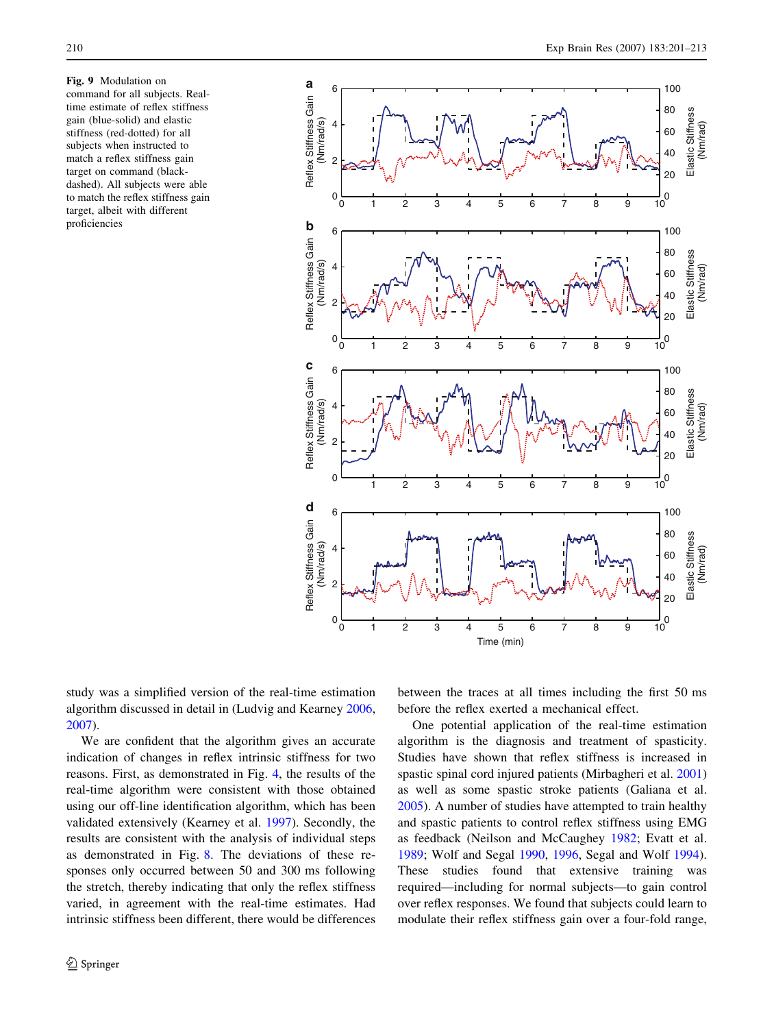<span id="page-9-0"></span>Fig. 9 Modulation on command for all subjects. Realtime estimate of reflex stiffness gain (blue-solid) and elastic stiffness (red-dotted) for all subjects when instructed to match a reflex stiffness gain target on command (blackdashed). All subjects were able to match the reflex stiffness gain target, albeit with different proficiencies



study was a simplified version of the real-time estimation algorithm discussed in detail in (Ludvig and Kearney [2006,](#page-11-0) [2007\)](#page-11-0).

We are confident that the algorithm gives an accurate indication of changes in reflex intrinsic stiffness for two reasons. First, as demonstrated in Fig. [4,](#page-5-0) the results of the real-time algorithm were consistent with those obtained using our off-line identification algorithm, which has been validated extensively (Kearney et al. [1997\)](#page-11-0). Secondly, the results are consistent with the analysis of individual steps as demonstrated in Fig. [8.](#page-8-0) The deviations of these responses only occurred between 50 and 300 ms following the stretch, thereby indicating that only the reflex stiffness varied, in agreement with the real-time estimates. Had intrinsic stiffness been different, there would be differences between the traces at all times including the first 50 ms before the reflex exerted a mechanical effect.

One potential application of the real-time estimation algorithm is the diagnosis and treatment of spasticity. Studies have shown that reflex stiffness is increased in spastic spinal cord injured patients (Mirbagheri et al. [2001\)](#page-12-0) as well as some spastic stroke patients (Galiana et al. [2005](#page-11-0)). A number of studies have attempted to train healthy and spastic patients to control reflex stiffness using EMG as feedback (Neilson and McCaughey [1982](#page-12-0); Evatt et al. [1989](#page-11-0); Wolf and Segal [1990,](#page-12-0) [1996](#page-12-0), Segal and Wolf [1994](#page-12-0)). These studies found that extensive training was required—including for normal subjects—to gain control over reflex responses. We found that subjects could learn to modulate their reflex stiffness gain over a four-fold range,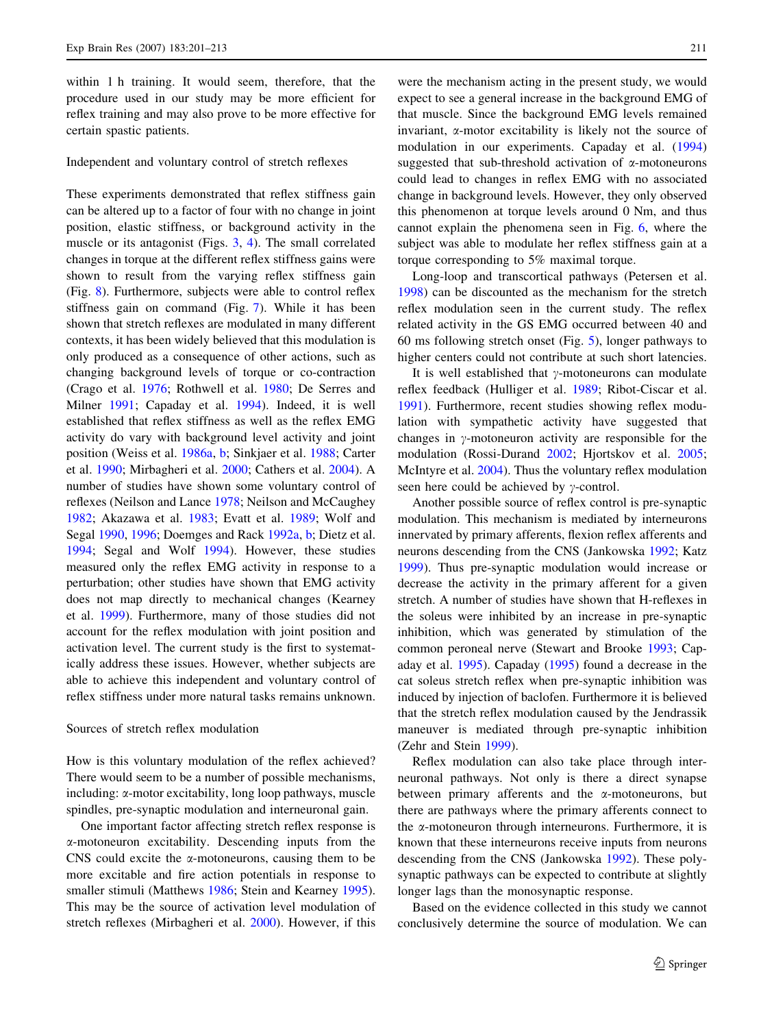within 1 h training. It would seem, therefore, that the procedure used in our study may be more efficient for reflex training and may also prove to be more effective for certain spastic patients.

#### Independent and voluntary control of stretch reflexes

These experiments demonstrated that reflex stiffness gain can be altered up to a factor of four with no change in joint position, elastic stiffness, or background activity in the muscle or its antagonist (Figs. [3](#page-4-0), [4](#page-5-0)). The small correlated changes in torque at the different reflex stiffness gains were shown to result from the varying reflex stiffness gain (Fig. [8](#page-8-0)). Furthermore, subjects were able to control reflex stiffness gain on command (Fig. [7\)](#page-7-0). While it has been shown that stretch reflexes are modulated in many different contexts, it has been widely believed that this modulation is only produced as a consequence of other actions, such as changing background levels of torque or co-contraction (Crago et al. [1976;](#page-11-0) Rothwell et al. [1980](#page-12-0); De Serres and Milner [1991;](#page-11-0) Capaday et al. [1994](#page-11-0)). Indeed, it is well established that reflex stiffness as well as the reflex EMG activity do vary with background level activity and joint position (Weiss et al. [1986a,](#page-12-0) [b](#page-12-0); Sinkjaer et al. [1988](#page-12-0); Carter et al. [1990](#page-11-0); Mirbagheri et al. [2000;](#page-11-0) Cathers et al. [2004](#page-11-0)). A number of studies have shown some voluntary control of reflexes (Neilson and Lance [1978;](#page-12-0) Neilson and McCaughey [1982;](#page-12-0) Akazawa et al. [1983;](#page-11-0) Evatt et al. [1989;](#page-11-0) Wolf and Segal [1990,](#page-12-0) [1996;](#page-12-0) Doemges and Rack [1992a](#page-11-0), [b](#page-11-0); Dietz et al. [1994;](#page-11-0) Segal and Wolf [1994\)](#page-12-0). However, these studies measured only the reflex EMG activity in response to a perturbation; other studies have shown that EMG activity does not map directly to mechanical changes (Kearney et al. [1999](#page-11-0)). Furthermore, many of those studies did not account for the reflex modulation with joint position and activation level. The current study is the first to systematically address these issues. However, whether subjects are able to achieve this independent and voluntary control of reflex stiffness under more natural tasks remains unknown.

### Sources of stretch reflex modulation

How is this voluntary modulation of the reflex achieved? There would seem to be a number of possible mechanisms, including: a-motor excitability, long loop pathways, muscle spindles, pre-synaptic modulation and interneuronal gain.

One important factor affecting stretch reflex response is a-motoneuron excitability. Descending inputs from the CNS could excite the  $\alpha$ -motoneurons, causing them to be more excitable and fire action potentials in response to smaller stimuli (Matthews [1986;](#page-11-0) Stein and Kearney [1995](#page-12-0)). This may be the source of activation level modulation of stretch reflexes (Mirbagheri et al. [2000\)](#page-11-0). However, if this

were the mechanism acting in the present study, we would expect to see a general increase in the background EMG of that muscle. Since the background EMG levels remained invariant, a-motor excitability is likely not the source of modulation in our experiments. Capaday et al. ([1994\)](#page-11-0) suggested that sub-threshold activation of  $\alpha$ -motoneurons could lead to changes in reflex EMG with no associated change in background levels. However, they only observed this phenomenon at torque levels around 0 Nm, and thus cannot explain the phenomena seen in Fig. [6](#page-6-0), where the subject was able to modulate her reflex stiffness gain at a torque corresponding to 5% maximal torque.

Long-loop and transcortical pathways (Petersen et al. [1998](#page-12-0)) can be discounted as the mechanism for the stretch reflex modulation seen in the current study. The reflex related activity in the GS EMG occurred between 40 and 60 ms following stretch onset (Fig. [5\)](#page-6-0), longer pathways to higher centers could not contribute at such short latencies.

It is well established that  $\gamma$ -motoneurons can modulate reflex feedback (Hulliger et al. [1989](#page-11-0); Ribot-Ciscar et al. [1991](#page-12-0)). Furthermore, recent studies showing reflex modulation with sympathetic activity have suggested that changes in  $\gamma$ -motoneuron activity are responsible for the modulation (Rossi-Durand [2002;](#page-12-0) Hjortskov et al. [2005](#page-11-0); McIntyre et al. [2004](#page-11-0)). Thus the voluntary reflex modulation seen here could be achieved by  $\gamma$ -control.

Another possible source of reflex control is pre-synaptic modulation. This mechanism is mediated by interneurons innervated by primary afferents, flexion reflex afferents and neurons descending from the CNS (Jankowska [1992](#page-11-0); Katz [1999](#page-11-0)). Thus pre-synaptic modulation would increase or decrease the activity in the primary afferent for a given stretch. A number of studies have shown that H-reflexes in the soleus were inhibited by an increase in pre-synaptic inhibition, which was generated by stimulation of the common peroneal nerve (Stewart and Brooke [1993](#page-12-0); Capaday et al. [1995\)](#page-11-0). Capaday [\(1995](#page-11-0)) found a decrease in the cat soleus stretch reflex when pre-synaptic inhibition was induced by injection of baclofen. Furthermore it is believed that the stretch reflex modulation caused by the Jendrassik maneuver is mediated through pre-synaptic inhibition (Zehr and Stein [1999](#page-12-0)).

Reflex modulation can also take place through interneuronal pathways. Not only is there a direct synapse between primary afferents and the  $\alpha$ -motoneurons, but there are pathways where the primary afferents connect to the  $\alpha$ -motoneuron through interneurons. Furthermore, it is known that these interneurons receive inputs from neurons descending from the CNS (Jankowska [1992\)](#page-11-0). These polysynaptic pathways can be expected to contribute at slightly longer lags than the monosynaptic response.

Based on the evidence collected in this study we cannot conclusively determine the source of modulation. We can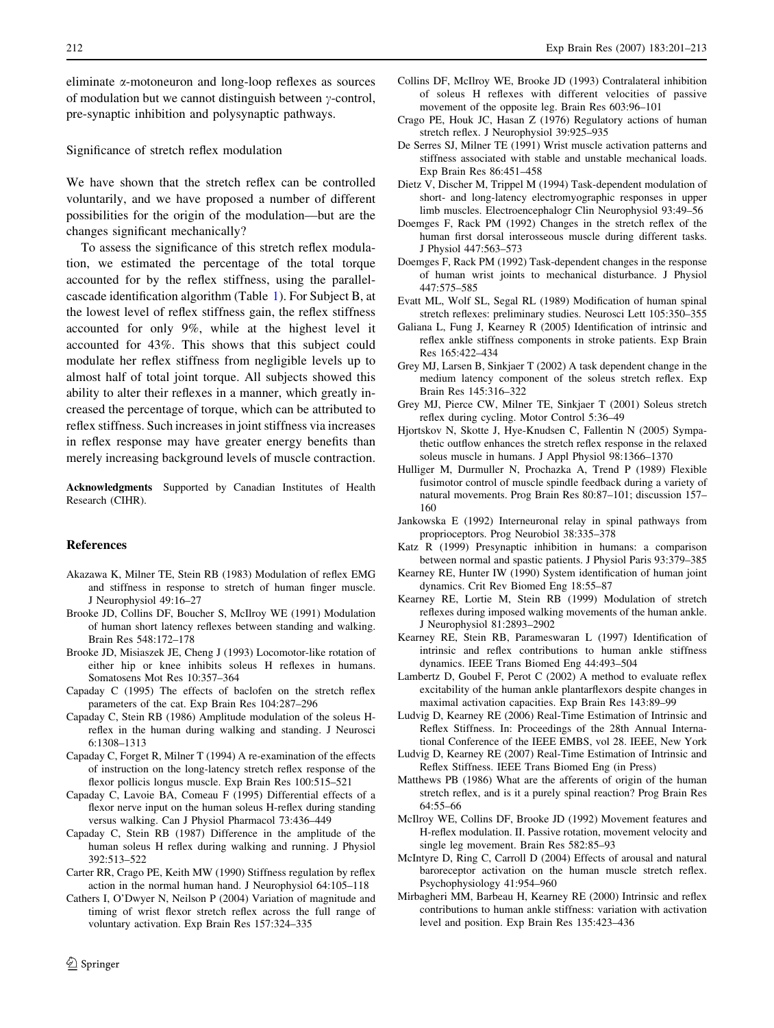<span id="page-11-0"></span>eliminate a-motoneuron and long-loop reflexes as sources of modulation but we cannot distinguish between  $\gamma$ -control, pre-synaptic inhibition and polysynaptic pathways.

Significance of stretch reflex modulation

We have shown that the stretch reflex can be controlled voluntarily, and we have proposed a number of different possibilities for the origin of the modulation—but are the changes significant mechanically?

To assess the significance of this stretch reflex modulation, we estimated the percentage of the total torque accounted for by the reflex stiffness, using the parallelcascade identification algorithm (Table [1\)](#page-8-0). For Subject B, at the lowest level of reflex stiffness gain, the reflex stiffness accounted for only 9%, while at the highest level it accounted for 43%. This shows that this subject could modulate her reflex stiffness from negligible levels up to almost half of total joint torque. All subjects showed this ability to alter their reflexes in a manner, which greatly increased the percentage of torque, which can be attributed to reflex stiffness. Such increases in joint stiffness via increases in reflex response may have greater energy benefits than merely increasing background levels of muscle contraction.

Acknowledgments Supported by Canadian Institutes of Health Research (CIHR).

# References

- Akazawa K, Milner TE, Stein RB (1983) Modulation of reflex EMG and stiffness in response to stretch of human finger muscle. J Neurophysiol 49:16–27
- Brooke JD, Collins DF, Boucher S, McIlroy WE (1991) Modulation of human short latency reflexes between standing and walking. Brain Res 548:172–178
- Brooke JD, Misiaszek JE, Cheng J (1993) Locomotor-like rotation of either hip or knee inhibits soleus H reflexes in humans. Somatosens Mot Res 10:357–364
- Capaday C (1995) The effects of baclofen on the stretch reflex parameters of the cat. Exp Brain Res 104:287–296
- Capaday C, Stein RB (1986) Amplitude modulation of the soleus Hreflex in the human during walking and standing. J Neurosci 6:1308–1313
- Capaday C, Forget R, Milner T (1994) A re-examination of the effects of instruction on the long-latency stretch reflex response of the flexor pollicis longus muscle. Exp Brain Res 100:515–521
- Capaday C, Lavoie BA, Comeau F (1995) Differential effects of a flexor nerve input on the human soleus H-reflex during standing versus walking. Can J Physiol Pharmacol 73:436–449
- Capaday C, Stein RB (1987) Difference in the amplitude of the human soleus H reflex during walking and running. J Physiol 392:513–522
- Carter RR, Crago PE, Keith MW (1990) Stiffness regulation by reflex action in the normal human hand. J Neurophysiol 64:105–118
- Cathers I, O'Dwyer N, Neilson P (2004) Variation of magnitude and timing of wrist flexor stretch reflex across the full range of voluntary activation. Exp Brain Res 157:324–335
- Collins DF, McIlroy WE, Brooke JD (1993) Contralateral inhibition of soleus H reflexes with different velocities of passive movement of the opposite leg. Brain Res 603:96–101
- Crago PE, Houk JC, Hasan Z (1976) Regulatory actions of human stretch reflex. J Neurophysiol 39:925–935
- De Serres SJ, Milner TE (1991) Wrist muscle activation patterns and stiffness associated with stable and unstable mechanical loads. Exp Brain Res 86:451–458
- Dietz V, Discher M, Trippel M (1994) Task-dependent modulation of short- and long-latency electromyographic responses in upper limb muscles. Electroencephalogr Clin Neurophysiol 93:49–56
- Doemges F, Rack PM (1992) Changes in the stretch reflex of the human first dorsal interosseous muscle during different tasks. J Physiol 447:563–573
- Doemges F, Rack PM (1992) Task-dependent changes in the response of human wrist joints to mechanical disturbance. J Physiol 447:575–585
- Evatt ML, Wolf SL, Segal RL (1989) Modification of human spinal stretch reflexes: preliminary studies. Neurosci Lett 105:350–355
- Galiana L, Fung J, Kearney R (2005) Identification of intrinsic and reflex ankle stiffness components in stroke patients. Exp Brain Res 165:422–434
- Grey MJ, Larsen B, Sinkjaer T (2002) A task dependent change in the medium latency component of the soleus stretch reflex. Exp Brain Res 145:316–322
- Grey MJ, Pierce CW, Milner TE, Sinkjaer T (2001) Soleus stretch reflex during cycling. Motor Control 5:36–49
- Hjortskov N, Skotte J, Hye-Knudsen C, Fallentin N (2005) Sympathetic outflow enhances the stretch reflex response in the relaxed soleus muscle in humans. J Appl Physiol 98:1366–1370
- Hulliger M, Durmuller N, Prochazka A, Trend P (1989) Flexible fusimotor control of muscle spindle feedback during a variety of natural movements. Prog Brain Res 80:87–101; discussion 157– 160
- Jankowska E (1992) Interneuronal relay in spinal pathways from proprioceptors. Prog Neurobiol 38:335–378
- Katz R (1999) Presynaptic inhibition in humans: a comparison between normal and spastic patients. J Physiol Paris 93:379–385
- Kearney RE, Hunter IW (1990) System identification of human joint dynamics. Crit Rev Biomed Eng 18:55–87
- Kearney RE, Lortie M, Stein RB (1999) Modulation of stretch reflexes during imposed walking movements of the human ankle. J Neurophysiol 81:2893–2902
- Kearney RE, Stein RB, Parameswaran L (1997) Identification of intrinsic and reflex contributions to human ankle stiffness dynamics. IEEE Trans Biomed Eng 44:493–504
- Lambertz D, Goubel F, Perot C (2002) A method to evaluate reflex excitability of the human ankle plantarflexors despite changes in maximal activation capacities. Exp Brain Res 143:89–99
- Ludvig D, Kearney RE (2006) Real-Time Estimation of Intrinsic and Reflex Stiffness. In: Proceedings of the 28th Annual International Conference of the IEEE EMBS, vol 28. IEEE, New York
- Ludvig D, Kearney RE (2007) Real-Time Estimation of Intrinsic and Reflex Stiffness. IEEE Trans Biomed Eng (in Press)
- Matthews PB (1986) What are the afferents of origin of the human stretch reflex, and is it a purely spinal reaction? Prog Brain Res 64:55–66
- McIlroy WE, Collins DF, Brooke JD (1992) Movement features and H-reflex modulation. II. Passive rotation, movement velocity and single leg movement. Brain Res 582:85–93
- McIntyre D, Ring C, Carroll D (2004) Effects of arousal and natural baroreceptor activation on the human muscle stretch reflex. Psychophysiology 41:954–960
- Mirbagheri MM, Barbeau H, Kearney RE (2000) Intrinsic and reflex contributions to human ankle stiffness: variation with activation level and position. Exp Brain Res 135:423–436